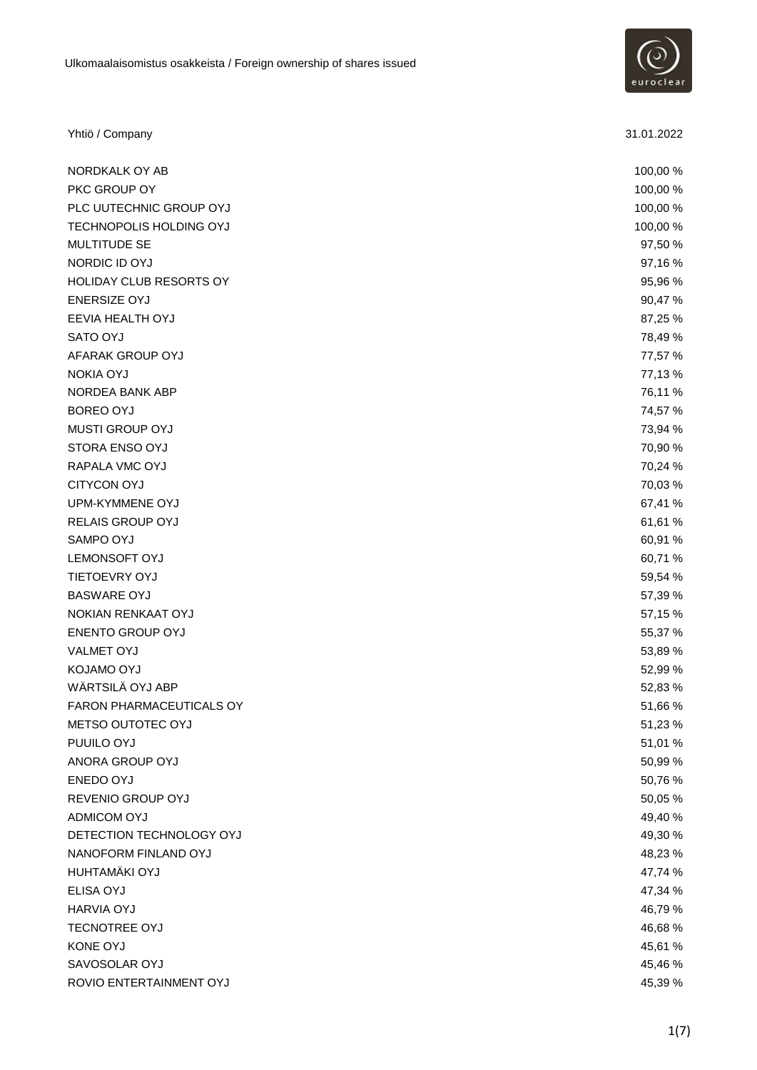

| Yhtiö / Company                | 31.01.2022 |
|--------------------------------|------------|
| NORDKALK OY AB                 | 100,00 %   |
| PKC GROUP OY                   | 100,00%    |
| PLC UUTECHNIC GROUP OYJ        | 100,00 %   |
| TECHNOPOLIS HOLDING OYJ        | 100,00 %   |
| MULTITUDE SE                   | 97,50 %    |
| NORDIC ID OYJ                  | 97,16 %    |
| <b>HOLIDAY CLUB RESORTS OY</b> | 95,96 %    |
| <b>ENERSIZE OYJ</b>            | 90,47%     |
| <b>EEVIA HEALTH OYJ</b>        | 87,25 %    |
| SATO OYJ                       | 78,49 %    |
| AFARAK GROUP OYJ               | 77,57 %    |
| <b>NOKIA OYJ</b>               | 77,13 %    |
| NORDEA BANK ABP                | 76,11 %    |
| <b>BOREO OYJ</b>               | 74,57 %    |
| <b>MUSTI GROUP OYJ</b>         | 73,94 %    |
| STORA ENSO OYJ                 | 70,90 %    |
| RAPALA VMC OYJ                 | 70,24 %    |
| <b>CITYCON OYJ</b>             | 70,03 %    |
| UPM-KYMMENE OYJ                | 67,41 %    |
| RELAIS GROUP OYJ               | 61,61 %    |
| SAMPO OYJ                      | 60,91 %    |
| <b>LEMONSOFT OYJ</b>           | 60,71 %    |
| <b>TIETOEVRY OYJ</b>           | 59,54 %    |
| <b>BASWARE OYJ</b>             | 57,39 %    |
| NOKIAN RENKAAT OYJ             | 57,15 %    |
| <b>ENENTO GROUP OYJ</b>        | 55,37 %    |
| <b>VALMET OYJ</b>              | 53,89 %    |
| KOJAMO OYJ                     | 52,99 %    |
| WÄRTSILÄ OYJ ABP               | 52,83 %    |
| FARON PHARMACEUTICALS OY       | 51,66 %    |
| METSO OUTOTEC OYJ              | 51,23 %    |
| PUUILO OYJ                     | 51,01 %    |
| ANORA GROUP OYJ                | 50,99 %    |
| ENEDO OYJ                      | 50,76 %    |
| REVENIO GROUP OYJ              | 50,05 %    |
| ADMICOM OYJ                    | 49,40 %    |
| DETECTION TECHNOLOGY OYJ       | 49,30 %    |
| NANOFORM FINLAND OYJ           | 48,23 %    |
| HUHTAMÄKI OYJ                  | 47,74 %    |
| ELISA OYJ                      | 47,34 %    |
| <b>HARVIA OYJ</b>              | 46,79%     |
| <b>TECNOTREE OYJ</b>           | 46,68%     |
| KONE OYJ                       | 45,61 %    |
| SAVOSOLAR OYJ                  | 45,46 %    |
| ROVIO ENTERTAINMENT OYJ        | 45,39 %    |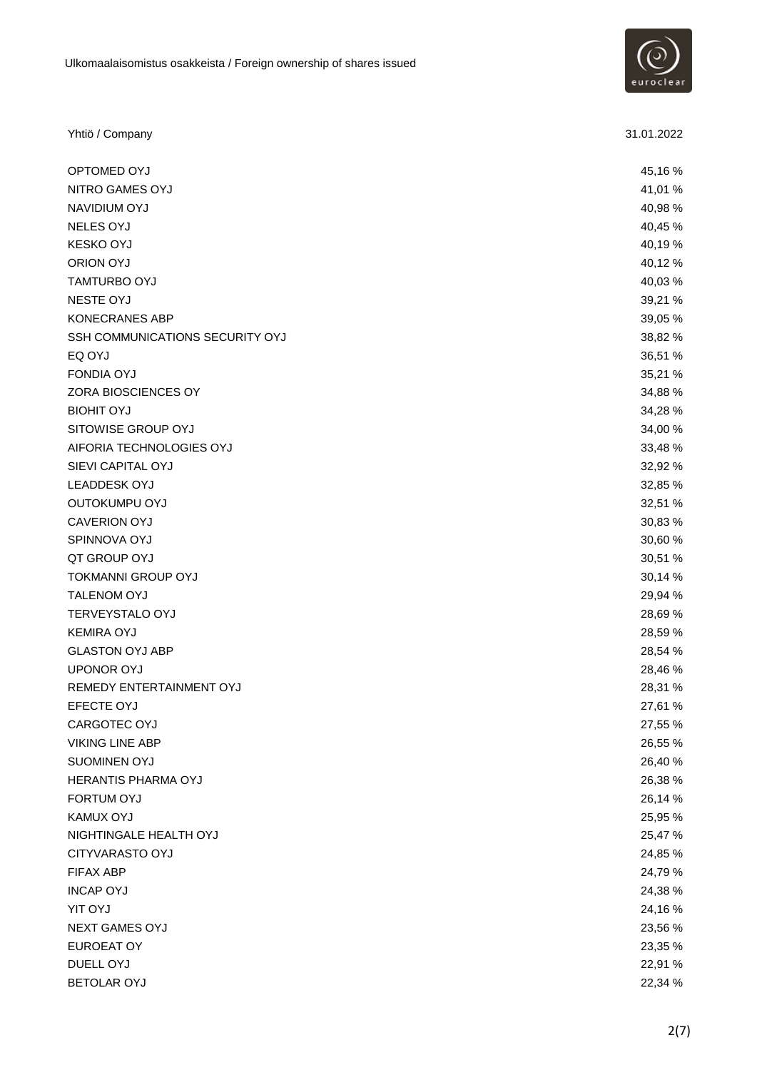

| Yhtiö / Company                 | 31.01.2022 |
|---------------------------------|------------|
| OPTOMED OYJ                     | 45,16%     |
| NITRO GAMES OYJ                 | 41,01 %    |
| NAVIDIUM OYJ                    | 40,98 %    |
| <b>NELES OYJ</b>                | 40,45 %    |
| <b>KESKO OYJ</b>                | 40,19%     |
| <b>ORION OYJ</b>                | 40,12%     |
| TAMTURBO OYJ                    | 40,03%     |
| <b>NESTE OYJ</b>                | 39,21 %    |
| <b>KONECRANES ABP</b>           | 39,05 %    |
| SSH COMMUNICATIONS SECURITY OYJ | 38,82 %    |
| EQ OYJ                          | 36,51 %    |
| <b>FONDIA OYJ</b>               | 35,21 %    |
| ZORA BIOSCIENCES OY             | 34,88 %    |
| <b>BIOHIT OYJ</b>               | 34,28 %    |
| SITOWISE GROUP OYJ              | 34,00 %    |
| AIFORIA TECHNOLOGIES OYJ        | 33,48 %    |
| SIEVI CAPITAL OYJ               | 32,92 %    |
| <b>LEADDESK OYJ</b>             | 32,85 %    |
| OUTOKUMPU OYJ                   | 32,51 %    |
| <b>CAVERION OYJ</b>             | 30,83 %    |
| SPINNOVA OYJ                    | 30,60 %    |
| QT GROUP OYJ                    | 30,51 %    |
| <b>TOKMANNI GROUP OYJ</b>       | 30,14 %    |
| <b>TALENOM OYJ</b>              | 29,94 %    |
| <b>TERVEYSTALO OYJ</b>          | 28,69 %    |
| <b>KEMIRA OYJ</b>               | 28,59 %    |
| <b>GLASTON OYJ ABP</b>          | 28,54 %    |
| <b>UPONOR OYJ</b>               | 28,46 %    |
| REMEDY ENTERTAINMENT OYJ        | 28,31 %    |
| EFECTE OYJ                      | 27,61 %    |
| CARGOTEC OYJ                    | 27,55 %    |
| <b>VIKING LINE ABP</b>          | 26,55 %    |
| SUOMINEN OYJ                    | 26,40 %    |
| HERANTIS PHARMA OYJ             | 26,38 %    |
| FORTUM OYJ                      | 26,14 %    |
| <b>KAMUX OYJ</b>                | 25,95 %    |
| NIGHTINGALE HEALTH OYJ          | 25,47 %    |
| <b>CITYVARASTO OYJ</b>          | 24,85 %    |
| FIFAX ABP                       | 24,79 %    |
| <b>INCAP OYJ</b>                | 24,38 %    |
| <b>YIT OYJ</b>                  | 24,16%     |
| <b>NEXT GAMES OYJ</b>           | 23,56 %    |
| <b>EUROEAT OY</b>               | 23,35 %    |
| DUELL OYJ                       | 22,91 %    |
| <b>BETOLAR OYJ</b>              | 22,34 %    |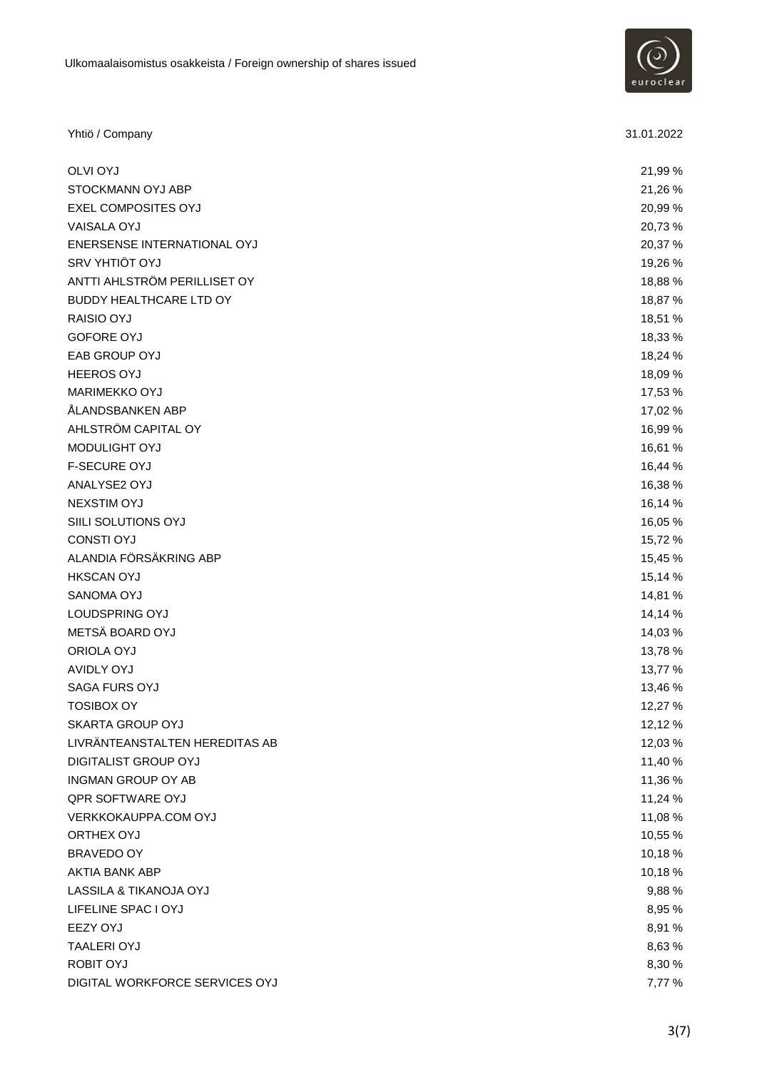

| Yhtiö / Company                | 31.01.2022 |
|--------------------------------|------------|
| <b>OLVI OYJ</b>                | 21,99 %    |
| STOCKMANN OYJ ABP              | 21,26 %    |
| EXEL COMPOSITES OYJ            | 20,99 %    |
| VAISALA OYJ                    | 20,73 %    |
| ENERSENSE INTERNATIONAL OYJ    | 20,37 %    |
| SRV YHTIÖT OYJ                 | 19,26 %    |
| ANTTI AHLSTRÖM PERILLISET OY   | 18,88 %    |
| <b>BUDDY HEALTHCARE LTD OY</b> | 18,87 %    |
| RAISIO OYJ                     | 18,51 %    |
| <b>GOFORE OYJ</b>              | 18,33 %    |
| EAB GROUP OYJ                  | 18,24 %    |
| <b>HEEROS OYJ</b>              | 18,09 %    |
| <b>MARIMEKKO OYJ</b>           | 17,53 %    |
| ÅLANDSBANKEN ABP               | 17,02 %    |
| AHLSTRÖM CAPITAL OY            | 16,99 %    |
| MODULIGHT OYJ                  | 16,61 %    |
| <b>F-SECURE OYJ</b>            | 16,44 %    |
| ANALYSE2 OYJ                   | 16,38 %    |
| <b>NEXSTIM OYJ</b>             | 16,14 %    |
| SIILI SOLUTIONS OYJ            | 16,05 %    |
| <b>CONSTI OYJ</b>              | 15,72 %    |
| ALANDIA FÖRSÄKRING ABP         | 15,45 %    |
| <b>HKSCAN OYJ</b>              | 15,14 %    |
| SANOMA OYJ                     | 14,81 %    |
| LOUDSPRING OYJ                 | 14,14 %    |
| METSÄ BOARD OYJ                | 14,03 %    |
| ORIOLA OYJ                     | 13,78 %    |
| <b>AVIDLY OYJ</b>              | 13,77 %    |
| SAGA FURS OYJ                  | 13,46 %    |
| <b>TOSIBOX OY</b>              | 12,27 %    |
| SKARTA GROUP OYJ               | 12,12 %    |
| LIVRÄNTEANSTALTEN HEREDITAS AB | 12,03 %    |
| DIGITALIST GROUP OYJ           | 11,40 %    |
| <b>INGMAN GROUP OY AB</b>      | 11,36 %    |
| <b>QPR SOFTWARE OYJ</b>        | 11,24 %    |
| VERKKOKAUPPA.COM OYJ           | 11,08 %    |
| ORTHEX OYJ                     | 10,55 %    |
| <b>BRAVEDO OY</b>              | 10,18%     |
| AKTIA BANK ABP                 | 10,18%     |
| LASSILA & TIKANOJA OYJ         | 9,88 %     |
| LIFELINE SPAC I OYJ            | 8,95 %     |
| <b>EEZY OYJ</b>                | 8,91 %     |
| <b>TAALERI OYJ</b>             | 8,63 %     |
| <b>ROBIT OYJ</b>               | 8,30 %     |
| DIGITAL WORKFORCE SERVICES OYJ | 7,77 %     |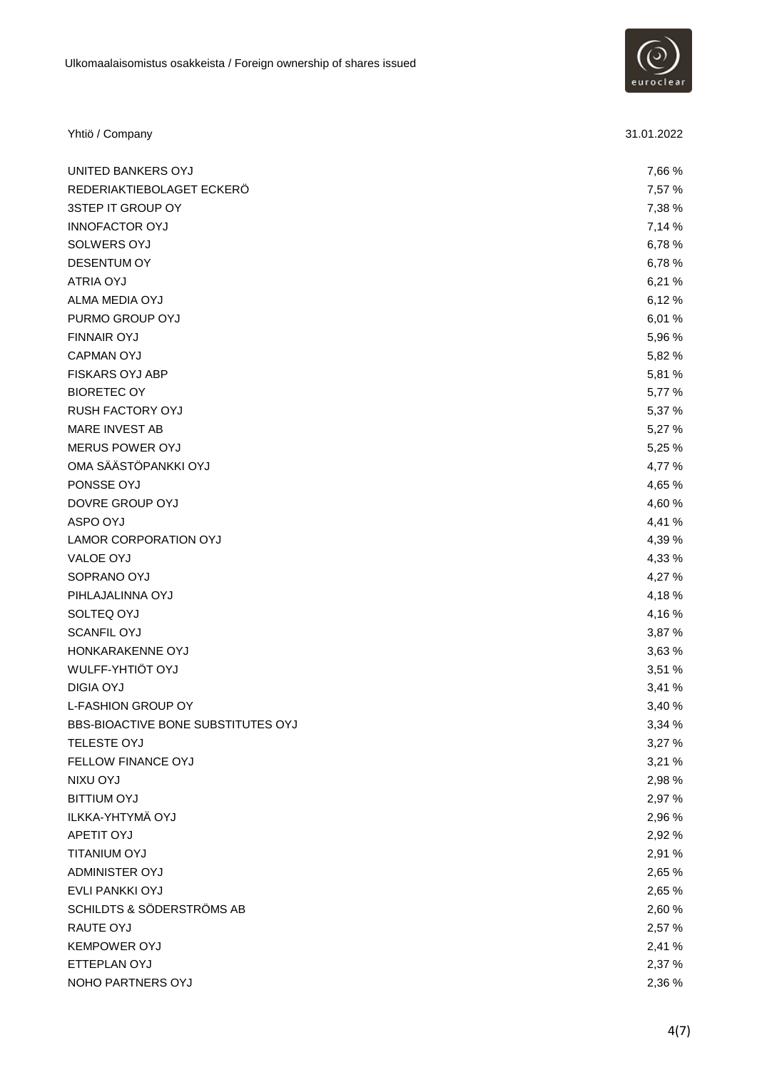

| Yhtiö / Company                    | 31.01.2022 |
|------------------------------------|------------|
| UNITED BANKERS OYJ                 | 7,66 %     |
| REDERIAKTIEBOLAGET ECKERÖ          | 7,57 %     |
| 3STEP IT GROUP OY                  | 7,38 %     |
| <b>INNOFACTOR OYJ</b>              | 7,14 %     |
| SOLWERS OYJ                        | 6,78 %     |
| <b>DESENTUM OY</b>                 | 6,78%      |
| <b>ATRIA OYJ</b>                   | 6,21%      |
| ALMA MEDIA OYJ                     | 6,12%      |
| PURMO GROUP OYJ                    | 6,01%      |
| <b>FINNAIR OYJ</b>                 | 5,96 %     |
| <b>CAPMAN OYJ</b>                  | 5,82 %     |
| <b>FISKARS OYJ ABP</b>             | 5,81 %     |
| <b>BIORETEC OY</b>                 | 5,77 %     |
| <b>RUSH FACTORY OYJ</b>            | 5,37 %     |
| MARE INVEST AB                     | 5,27 %     |
| MERUS POWER OYJ                    | 5,25 %     |
| OMA SÄÄSTÖPANKKI OYJ               | 4,77 %     |
| PONSSE OYJ                         | 4,65 %     |
| DOVRE GROUP OYJ                    | 4,60 %     |
| ASPO OYJ                           | 4,41 %     |
| LAMOR CORPORATION OYJ              | 4,39 %     |
| VALOE OYJ                          | 4,33 %     |
| SOPRANO OYJ                        | 4,27 %     |
| PIHLAJALINNA OYJ                   | 4,18%      |
| SOLTEQ OYJ                         | 4,16%      |
| <b>SCANFIL OYJ</b>                 | 3,87 %     |
| HONKARAKENNE OYJ                   | 3,63 %     |
| WULFF-YHTIÖT OYJ                   | 3,51 %     |
| <b>DIGIA OYJ</b>                   | 3,41 %     |
| <b>L-FASHION GROUP OY</b>          | 3,40 %     |
| BBS-BIOACTIVE BONE SUBSTITUTES OYJ | 3,34 %     |
| TELESTE OYJ                        | 3,27 %     |
| FELLOW FINANCE OYJ                 | 3,21 %     |
| NIXU OYJ                           | 2,98 %     |
| <b>BITTIUM OYJ</b>                 | 2,97 %     |
| ILKKA-YHTYMÄ OYJ                   | 2,96 %     |
| APETIT OYJ                         | 2,92 %     |
| TITANIUM OYJ                       | 2,91 %     |
| ADMINISTER OYJ                     | 2,65 %     |
| EVLI PANKKI OYJ                    | 2,65 %     |
| SCHILDTS & SÖDERSTRÖMS AB          | 2,60%      |
| RAUTE OYJ                          | 2,57 %     |
| <b>KEMPOWER OYJ</b>                | 2,41 %     |
| ETTEPLAN OYJ                       | 2,37 %     |
| NOHO PARTNERS OYJ                  | 2,36 %     |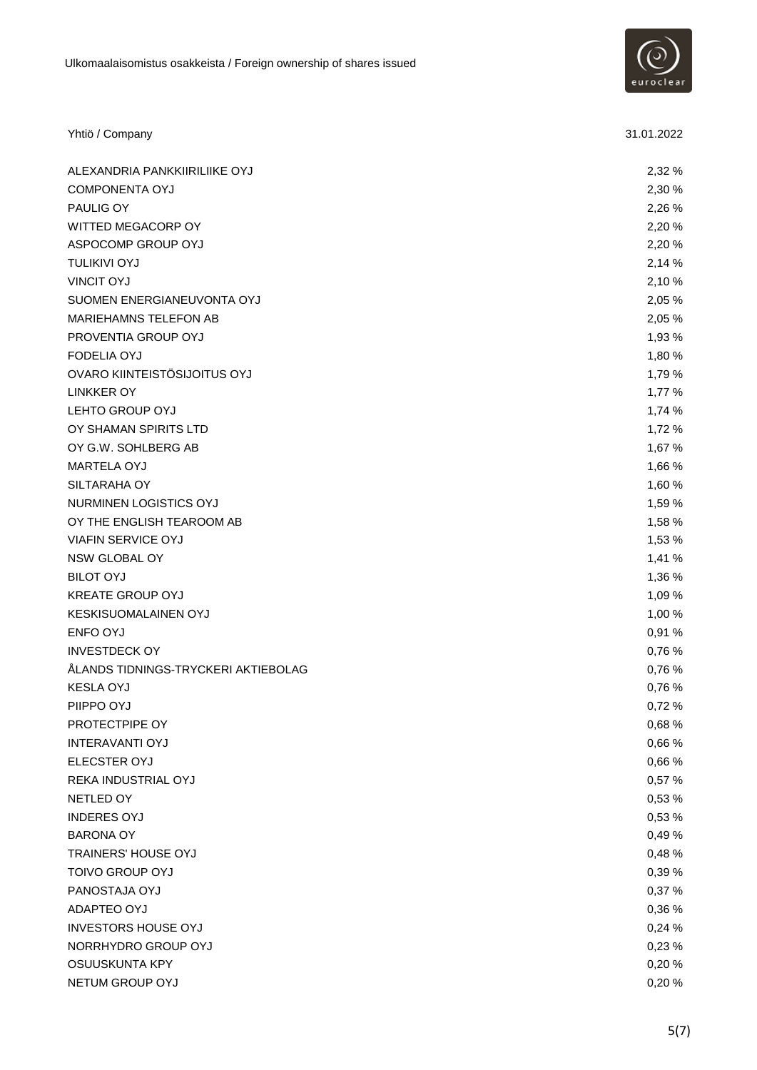

| Yhtiö / Company                     | 31.01.2022 |
|-------------------------------------|------------|
| ALEXANDRIA PANKKIIRILIIKE OYJ       | 2,32 %     |
| <b>COMPONENTA OYJ</b>               | 2,30 %     |
| PAULIG OY                           | 2,26 %     |
| WITTED MEGACORP OY                  | 2,20 %     |
| ASPOCOMP GROUP OYJ                  | 2,20 %     |
| <b>TULIKIVI OYJ</b>                 | 2,14 %     |
| <b>VINCIT OYJ</b>                   | 2,10 %     |
| SUOMEN ENERGIANEUVONTA OYJ          | 2,05 %     |
| MARIEHAMNS TELEFON AB               | 2,05 %     |
| PROVENTIA GROUP OYJ                 | 1,93 %     |
| <b>FODELIA OYJ</b>                  | 1,80 %     |
| OVARO KIINTEISTÖSIJOITUS OYJ        | 1,79 %     |
| <b>LINKKER OY</b>                   | 1,77 %     |
| LEHTO GROUP OYJ                     | 1,74 %     |
| OY SHAMAN SPIRITS LTD               | 1,72 %     |
| OY G.W. SOHLBERG AB                 | 1,67 %     |
| MARTELA OYJ                         | 1,66 %     |
| SILTARAHA OY                        | 1,60 %     |
| NURMINEN LOGISTICS OYJ              | 1,59 %     |
| OY THE ENGLISH TEAROOM AB           | 1,58 %     |
| <b>VIAFIN SERVICE OYJ</b>           | 1,53 %     |
| NSW GLOBAL OY                       | 1,41 %     |
| <b>BILOT OYJ</b>                    | 1,36 %     |
| <b>KREATE GROUP OYJ</b>             | 1,09 %     |
| <b>KESKISUOMALAINEN OYJ</b>         | 1,00 %     |
| ENFO OYJ                            | 0,91 %     |
| <b>INVESTDECK OY</b>                | 0,76 %     |
| ÅLANDS TIDNINGS-TRYCKERI AKTIEBOLAG | 0,76 %     |
| <b>KESLA OYJ</b>                    | 0,76 %     |
| PIIPPO OYJ                          | 0,72 %     |
| PROTECTPIPE OY                      | 0,68 %     |
| <b>INTERAVANTI OYJ</b>              | 0,66 %     |
| ELECSTER OYJ                        | 0,66 %     |
| REKA INDUSTRIAL OYJ                 | 0,57 %     |
| NETLED OY                           | 0,53 %     |
| <b>INDERES OYJ</b>                  | 0,53 %     |
| <b>BARONA OY</b>                    | 0,49%      |
| TRAINERS' HOUSE OYJ                 | 0,48%      |
| <b>TOIVO GROUP OYJ</b>              | 0,39 %     |
| PANOSTAJA OYJ                       | 0,37 %     |
| ADAPTEO OYJ                         | 0,36 %     |
| <b>INVESTORS HOUSE OYJ</b>          | 0,24 %     |
| NORRHYDRO GROUP OYJ                 | 0,23 %     |
| OSUUSKUNTA KPY                      | 0,20%      |
| NETUM GROUP OYJ                     | 0,20%      |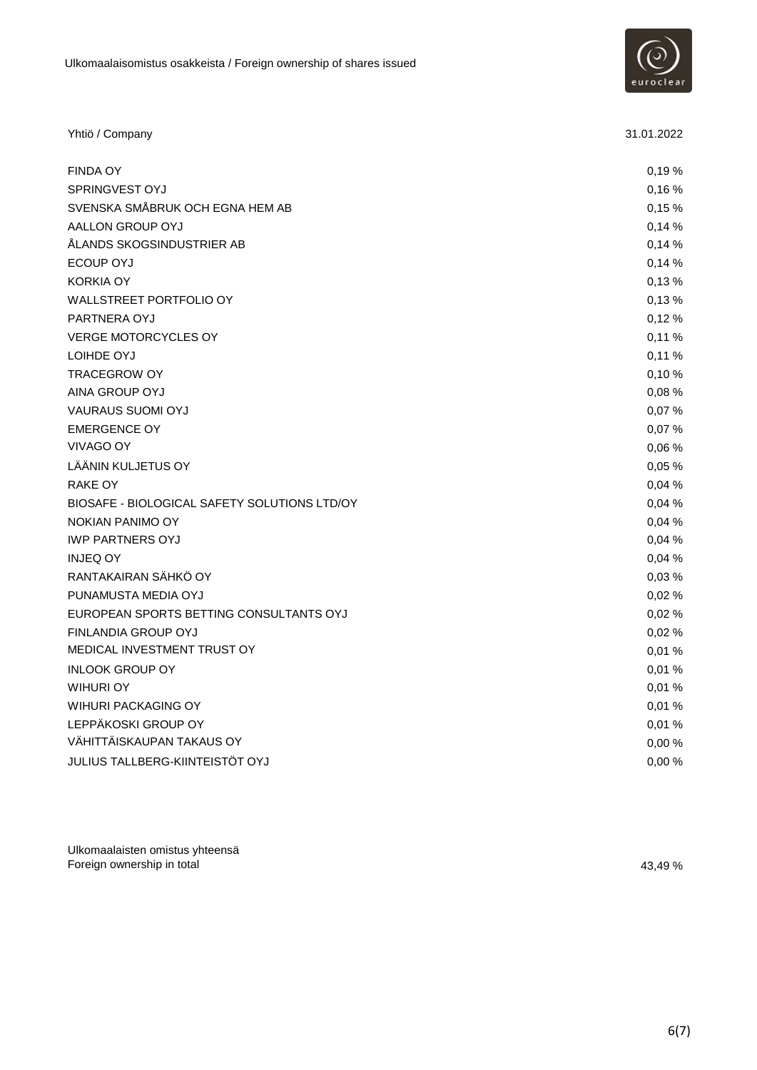

| Yhtiö / Company                              | 31.01.2022 |
|----------------------------------------------|------------|
| <b>FINDA OY</b>                              | 0,19%      |
| SPRINGVEST OYJ                               | 0,16%      |
| SVENSKA SMÅBRUK OCH EGNA HEM AB              | 0,15%      |
| AALLON GROUP OYJ                             | 0,14%      |
| ÅLANDS SKOGSINDUSTRIER AB                    | 0,14%      |
| ECOUP OYJ                                    | 0,14%      |
| <b>KORKIA OY</b>                             | 0,13%      |
| WALLSTREET PORTFOLIO OY                      | 0,13%      |
| PARTNERA OYJ                                 | 0,12%      |
| <b>VERGE MOTORCYCLES OY</b>                  | 0,11%      |
| LOIHDE OYJ                                   | 0,11%      |
| <b>TRACEGROW OY</b>                          | 0,10%      |
| AINA GROUP OYJ                               | 0,08%      |
| <b>VAURAUS SUOMI OYJ</b>                     | 0,07%      |
| <b>EMERGENCE OY</b>                          | 0,07%      |
| VIVAGO OY                                    | 0.06%      |
| LÄÄNIN KULJETUS OY                           | 0,05%      |
| RAKE OY                                      | 0,04%      |
| BIOSAFE - BIOLOGICAL SAFETY SOLUTIONS LTD/OY | 0.04%      |
| NOKIAN PANIMO OY                             | 0,04 %     |
| <b>IWP PARTNERS OYJ</b>                      | 0,04%      |
| <b>INJEQ OY</b>                              | 0,04 %     |
| RANTAKAIRAN SÄHKÖ OY                         | 0,03%      |
| PUNAMUSTA MEDIA OYJ                          | 0,02%      |
| EUROPEAN SPORTS BETTING CONSULTANTS OYJ      | 0,02%      |
| FINLANDIA GROUP OYJ                          | 0,02%      |
| MEDICAL INVESTMENT TRUST OY                  | 0,01%      |
| <b>INLOOK GROUP OY</b>                       | 0,01%      |
| WIHURI OY                                    | 0,01%      |
| WIHURI PACKAGING OY                          | 0,01%      |
| LEPPÄKOSKI GROUP OY                          | 0,01%      |
| VÄHITTÄISKAUPAN TAKAUS OY                    | 0,00%      |
| JULIUS TALLBERG-KIINTEISTÖT OYJ              | 0,00%      |

Ulkomaalaisten omistus yhteensä Foreign ownership in total 43,49 %